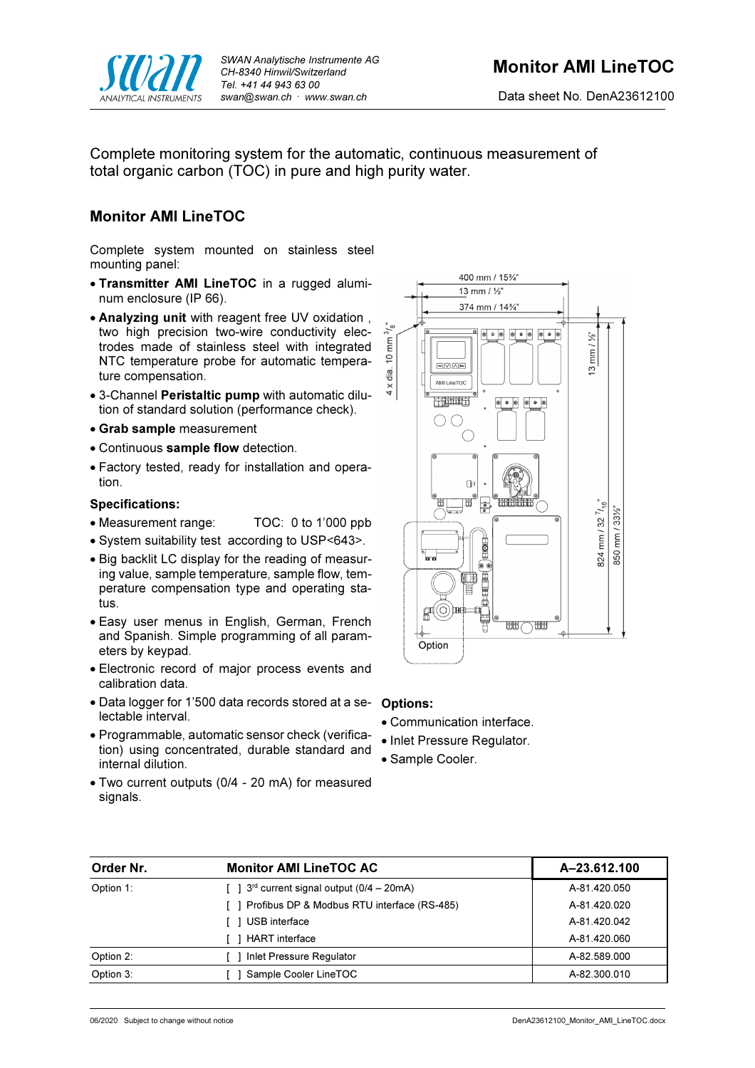

Complete monitoring system for the automatic, continuous measurement of total organic carbon (TOC) in pure and high purity water.

## Monitor AMI LineTOC

Complete system mounted on stainless steel mounting panel:

- Transmitter AMI LineTOC in a rugged aluminum enclosure (IP 66).
- Analyzing unit with reagent free UV oxidation , two high precision two-wire conductivity electrodes made of stainless steel with integrated NTC temperature probe for automatic temperature compensation.
- 3-Channel Peristaltic pump with automatic dilution of standard solution (performance check).
- Grab sample measurement
- Continuous sample flow detection.
- Factory tested, ready for installation and operation.

### Specifications:

- Measurement range: TOC: 0 to 1'000 ppb
- System suitability test according to USP<643>.
- Big backlit LC display for the reading of measuring value, sample temperature, sample flow, temperature compensation type and operating status.
- Easy user menus in English, German, French and Spanish. Simple programming of all parameters by keypad.
- Electronic record of major process events and calibration data.
- Data logger for 1'500 data records stored at a se- Options: lectable interval.
- Programmable, automatic sensor check (verification) using concentrated, durable standard and internal dilution.
- Two current outputs (0/4 20 mA) for measured signals.



- Communication interface.
- Inlet Pressure Regulator.
- Sample Cooler.

| Order Nr. | <b>Monitor AMI LineTOC AC</b>                                 | A-23.612.100 |
|-----------|---------------------------------------------------------------|--------------|
| Option 1: | $\lceil$   3 <sup>rd</sup> current signal output (0/4 – 20mA) | A-81.420.050 |
|           | [ ] Profibus DP & Modbus RTU interface (RS-485)               | A-81.420.020 |
|           | USB interface                                                 | A-81.420.042 |
|           | <b>HART</b> interface                                         | A-81.420.060 |
| Option 2: | Inlet Pressure Regulator                                      | A-82.589.000 |
| Option 3: | Sample Cooler LineTOC                                         | A-82.300.010 |